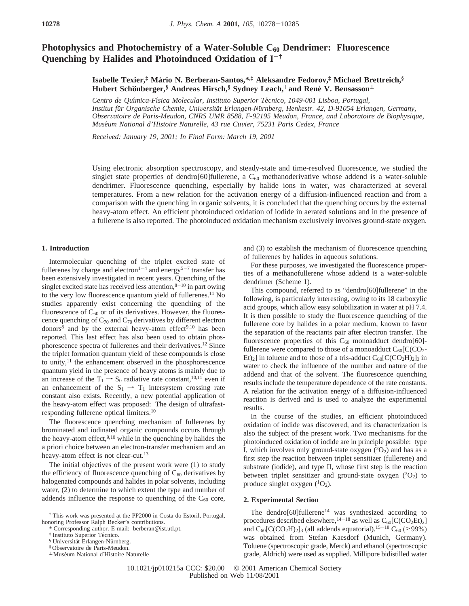# **Photophysics and Photochemistry of a Water-Soluble C<sub>60</sub> Dendrimer: Fluorescence Quenching by Halides and Photoinduced Oxidation of I**-**†**

**Isabelle Texier,‡ Ma**´**rio N. Berberan-Santos,\*,‡ Aleksandre Fedorov,‡ Michael Brettreich,§ Hubert Schönberger,§** Andreas Hirsch,§ Sydney Leach,<sup>||</sup> and René V. Bensasson<sup>⊥</sup>

*Centro de Quı*´*mica-Fı*´*sica Molecular, Instituto Superior Te*´*cnico, 1049-001 Lisboa, Portugal, Institut fu*¨*r Organische Chemie, Uni*V*ersita*¨*t Erlangen-Nu*¨*rnberg, Henkestr. 42, D-91054 Erlangen, Germany, Obser*V*atoire de Paris-Meudon, CNRS UMR 8588, F-92195 Meudon, France, and Laboratoire de Biophysique, Muse*´*um National d'Histoire Naturelle, 43 rue Cu*V*ier, 75231 Paris Cedex, France*

*Recei*V*ed: January 19, 2001; In Final Form: March 19, 2001*

Using electronic absorption spectroscopy, and steady-state and time-resolved fluorescence, we studied the singlet state properties of dendro[60]fullerene, a  $C_{60}$  methanoderivative whose addend is a water-soluble dendrimer. Fluorescence quenching, especially by halide ions in water, was characterized at several temperatures. From a new relation for the activation energy of a diffusion-influenced reaction and from a comparison with the quenching in organic solvents, it is concluded that the quenching occurs by the external heavy-atom effect. An efficient photoinduced oxidation of iodide in aerated solutions and in the presence of a fullerene is also reported. The photoinduced oxidation mechanism exclusively involves ground-state oxygen.

## **1. Introduction**

Intermolecular quenching of the triplet excited state of fullerenes by charge and electron<sup>1-4</sup> and energy<sup>5-7</sup> transfer has been extensively investigated in recent years. Quenching of the singlet excited state has received less attention, $8-10$  in part owing to the very low fluorescence quantum yield of fullerenes.<sup>11</sup> No studies apparently exist concerning the quenching of the fluorescence of  $C_{60}$  or of its derivatives. However, the fluorescence quenching of  $C_{70}$  and  $C_{70}$  derivatives by different electron donors<sup>8</sup> and by the external heavy-atom effect<sup>9,10</sup> has been reported. This last effect has also been used to obtain phosphorescence spectra of fullerenes and their derivatives.12 Since the triplet formation quantum yield of these compounds is close to unity,<sup>11</sup> the enhancement observed in the phosphorescence quantum yield in the presence of heavy atoms is mainly due to an increase of the  $T_1 \rightarrow S_0$  radiative rate constant,<sup>10,11</sup> even if an enhancement of the  $S_1 \rightarrow T_1$  intersystem crossing rate constant also exists. Recently, a new potential application of the heavy-atom effect was proposed: The design of ultrafastresponding fullerene optical limiters.10

The fluorescence quenching mechanism of fullerenes by brominated and iodinated organic compounds occurs through the heavy-atom effect,  $9,10$  while in the quenching by halides the a priori choice between an electron-transfer mechanism and an heavy-atom effect is not clear-cut.<sup>13</sup>

The initial objectives of the present work were (1) to study the efficiency of fluorescence quenching of  $C_{60}$  derivatives by halogenated compounds and halides in polar solvents, including water, (2) to determine to which extent the type and number of addends influence the response to quenching of the  $C_{60}$  core,

and (3) to establish the mechanism of fluorescence quenching of fullerenes by halides in aqueous solutions.

For these purposes, we investigated the fluorescence properties of a methanofullerene whose addend is a water-soluble dendrimer (Scheme 1).

This compound, referred to as "dendro[60]fullerene" in the following, is particularly interesting, owing to its 18 carboxylic acid groups, which allow easy solubilization in water at pH 7.4. It is then possible to study the fluorescence quenching of the fullerene core by halides in a polar medium, known to favor the separation of the reactants pair after electron transfer. The fluorescence properties of this  $C_{60}$  monoadduct dendro[60]fullerene were compared to those of a monoadduct  $C_{60}[C(CO<sub>2</sub> Et$ <sub>2</sub>] in toluene and to those of a tris-adduct  $C_{60}[C(CO<sub>2</sub>H)<sub>2</sub>]$ <sub>3</sub> in water to check the influence of the number and nature of the addend and that of the solvent. The fluorescence quenching results include the temperature dependence of the rate constants. A relation for the activation energy of a diffusion-influenced reaction is derived and is used to analyze the experimental results.

In the course of the studies, an efficient photoinduced oxidation of iodide was discovered, and its characterization is also the subject of the present work. Two mechanisms for the photoinduced oxidation of iodide are in principle possible: type I, which involves only ground-state oxygen  $(3O<sub>2</sub>)$  and has as a first step the reaction between triplet sensitizer (fullerene) and substrate (iodide), and type II, whose first step is the reaction between triplet sensitizer and ground-state oxygen  $(^3O_2)$  to produce singlet oxygen  $(^1O_2)$ .

### **2. Experimental Section**

The dendro $[60]$ fullerene<sup>14</sup> was synthesized according to procedures described elsewhere,<sup>14-18</sup> as well as  $C_{60}[C(CO_2Et)_2]$ and  $C_{60}[C(CO_2H)_2]_3$  (all addends equatorial).<sup>15-18</sup>  $C_{60}$  (>99%) was obtained from Stefan Kaesdorf (Munich, Germany). Toluene (spectroscopic grade, Merck) and ethanol (spectroscopic grade, Aldrich) were used as supplied. Millipore bidistilled water

<sup>†</sup> This work was presented at the PP2000 in Costa do Estoril, Portugal, honoring Professor Ralph Becker's contributions.

Corresponding author. E-mail: berberan@ist.utl.pt.

<sup>&</sup>lt;sup>‡</sup> Instituto Superior Técnico.<br><sup>§</sup> Universität Erlangen-Nürnberg.

<sup>&</sup>lt;sup>‼</sup> Observatoire de Paris-Meudon.

<sup>⊥</sup> Muse´um National d′Histoire Naturelle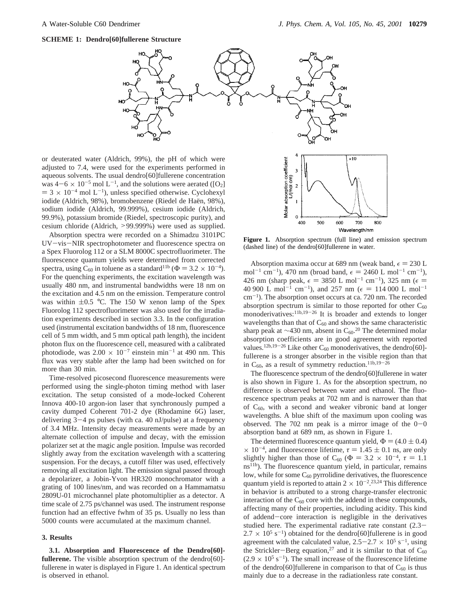**SCHEME 1: Dendro[60]fullerene Structure**



or deuterated water (Aldrich, 99%), the pH of which were adjusted to 7.4, were used for the experiments performed in aqueous solvents. The usual dendro[60]fullerene concentration was  $4-6 \times 10^{-5}$  mol L<sup>-1</sup>, and the solutions were aerated ([O<sub>2</sub>]  $=$  3  $\times$  10<sup>-4</sup> mol L<sup>-1</sup>), unless specified otherwise. Cyclohexyl iodide (Aldrich, 98%), bromobenzene (Riedel de Haën, 98%), sodium iodide (Aldrich, 99.999%), cesium iodide (Aldrich, 99.9%), potassium bromide (Riedel, spectroscopic purity), and cesium chloride (Aldrich, >99.999%) were used as supplied.

Absorption spectra were recorded on a Shimadzu 3101PC UV-vis-NIR spectrophotometer and fluorescence spectra on a Spex Fluorolog 112 or a SLM 8000C spectrofluorimeter. The fluorescence quantum yields were determined from corrected spectra, using C<sub>60</sub> in toluene as a standard<sup>11b</sup> ( $\Phi = 3.2 \times 10^{-4}$ ). For the quenching experiments, the excitation wavelength was usually 480 nm, and instrumental bandwidths were 18 nm on the excitation and 4.5 nm on the emission. Temperature control was within  $\pm 0.5$  °C. The 150 W xenon lamp of the Spex Fluorolog 112 spectrofluorimeter was also used for the irradiation experiments described in section 3.3. In the configuration used (instrumental excitation bandwidths of 18 nm, fluorescence cell of 5 mm width, and 5 mm optical path length), the incident photon flux on the fluorescence cell, measured with a calibrated photodiode, was  $2.00 \times 10^{-7}$  einstein min<sup>-1</sup> at 490 nm. This flux was very stable after the lamp had been switched on for more than 30 min.

Time-resolved picosecond fluorescence measurements were performed using the single-photon timing method with laser excitation. The setup consisted of a mode-locked Coherent Innova 400-10 argon-ion laser that synchronously pumped a cavity dumped Coherent 701-2 dye (Rhodamine 6G) laser, delivering  $3-4$  ps pulses (with ca. 40 nJ/pulse) at a frequency of 3.4 MHz. Intensity decay measurements were made by an alternate collection of impulse and decay, with the emission polarizer set at the magic angle position. Impulse was recorded slightly away from the excitation wavelength with a scattering suspension. For the decays, a cutoff filter was used, effectively removing all excitation light. The emission signal passed through a depolarizer, a Jobin-Yvon HR320 monochromator with a grating of 100 lines/nm, and was recorded on a Hammamatsu 2809U-01 microchannel plate photomultiplier as a detector. A time scale of 2.75 ps/channel was used. The instrument response function had an effective fwhm of 35 ps. Usually no less than 5000 counts were accumulated at the maximum channel.

## **3. Results**

**3.1. Absorption and Fluorescence of the Dendro[60]** fullerene. The visible absorption spectrum of the dendro[60]fullerene in water is displayed in Figure 1. An identical spectrum is observed in ethanol.



**Figure 1.** Absorption spectrum (full line) and emission spectrum (dashed line) of the dendro[60]fullerene in water.

Absorption maxima occur at 689 nm (weak band,  $\epsilon = 230$  L mol<sup>-1</sup> cm<sup>-1</sup>), 470 nm (broad band,  $\epsilon = 2460$  L mol<sup>-1</sup> cm<sup>-1</sup>), 426 nm (sharp peak,  $\epsilon = 3850$  L mol<sup>-1</sup> cm<sup>-1</sup>), 325 nm ( $\epsilon =$ 40 900 L mol<sup>-1</sup> cm<sup>-1</sup>), and 257 nm ( $\epsilon = 114\,000$  L mol<sup>-1</sup> cm-1). The absorption onset occurs at ca. 720 nm. The recorded absorption spectrum is similar to those reported for other  $C_{60}$ monoderivatives:<sup>11b,19-26</sup> It is broader and extends to longer wavelengths than that of  $C_{60}$  and shows the same characteristic sharp peak at  $\sim$ 430 nm, absent in C<sub>60</sub>.<sup>20</sup> The determined molar absorption coefficients are in good agreement with reported values.<sup>12b,19-26</sup> Like other  $C_{60}$  monoderivatives, the dendro[60]fullerene is a stronger absorber in the visible region than that in  $C_{60}$ , as a result of symmetry reduction.<sup>11b,19-26</sup>

The fluorescence spectrum of the dendro[60]fullerene in water is also shown in Figure 1. As for the absorption spectrum, no difference is observed between water and ethanol. The fluorescence spectrum peaks at 702 nm and is narrower than that of  $C_{60}$ , with a second and weaker vibronic band at longer wavelengths. A blue shift of the maximum upon cooling was observed. The 702 nm peak is a mirror image of the  $0-0$ absorption band at 689 nm, as shown in Figure 1.

The determined fluorescence quantum yield,  $\Phi = (4.0 \pm 0.4)$  $\times 10^{-4}$ , and fluorescence lifetime,  $\tau = 1.45 \pm 0.1$  ns, are only slightly higher than those of C<sub>60</sub> ( $\Phi = 3.2 \times 10^{-4}$ ,  $\tau = 1.1$ ns<sup>11b</sup>). The fluorescence quantum yield, in particular, remains low, while for some  $C_{60}$  pyrrolidine derivatives, the fluorescence quantum yield is reported to attain  $2 \times 10^{-2}$ .<sup>23,24</sup> This difference in behavior is attributed to a strong charge-transfer electronic interaction of the  $C_{60}$  core with the addend in these compounds, affecting many of their properties, including acidity. This kind of addend-core interaction is negligible in the derivatives studied here. The experimental radiative rate constant (2.3-  $2.7 \times 10^5$  s<sup>-1</sup>) obtained for the dendro[60]fullerene is in good agreement with the calculated value,  $2.5-2.7 \times 10^5$  s<sup>-1</sup>, using the Strickler-Berg equation,<sup>27</sup> and it is similar to that of  $C_{60}$  $(2.9 \times 10^5 \text{ s}^{-1})$ . The small increase of the fluorescence lifetime of the dendro[60]fullerene in comparison to that of  $C_{60}$  is thus mainly due to a decrease in the radiationless rate constant.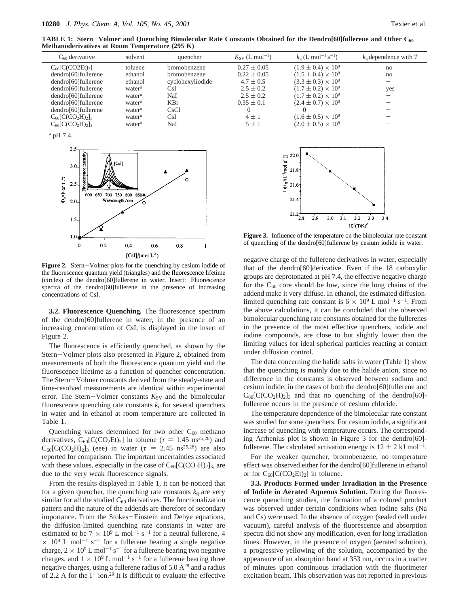**TABLE 1: Stern**-**Volmer and Quenching Bimolecular Rate Constants Obtained for the Dendro[60]fullerene and Other C60 Methanoderivatives at Room Temperature (295 K)**

| $C_{60}$ derivative                                        | solvent            | quencher            | $K_{SV}$ (L mol <sup>-1</sup> ) | $k_0$ (L mol <sup>-1</sup> s <sup>-1</sup> ) | $k_0$ dependence with T |
|------------------------------------------------------------|--------------------|---------------------|---------------------------------|----------------------------------------------|-------------------------|
| $C_{60}$ [C(CO2Et) <sub>2</sub> ]                          | toluene            | <b>bromobenzene</b> | $0.27 \pm 0.05$                 | $(1.9 \pm 0.4) \times 10^8$                  | no                      |
| dendro[60]fullerene                                        | ethanol            | bromobenzene        | $0.22 \pm 0.05$                 | $(1.5 \pm 0.4) \times 10^8$                  | no                      |
| dendro[60]fullerene                                        | ethanol            | cyclohexyliodide    | $4.7 \pm 0.5$                   | $(3.3 \pm 0.3) \times 10^9$                  | —                       |
| dendro[60]fullerene                                        | water $\alpha$     | CsI                 | $2.5 \pm 0.2$                   | $(1.7 \pm 0.2) \times 10^9$                  | yes                     |
| dendro[60]fullerene                                        | water <sup>a</sup> | NaI                 | $2.5 \pm 0.2$                   | $(1.7 \pm 0.2) \times 10^9$                  |                         |
| dendro[60]fullerene                                        | water <sup>a</sup> | <b>KBr</b>          | $0.35 \pm 0.1$                  | $(2.4 \pm 0.7) \times 10^8$                  |                         |
| dendro[60]fullerene                                        | water $\alpha$     | CsCl                |                                 |                                              |                         |
| $C_{60}$ [C(CO <sub>2</sub> H) <sub>2</sub> ] <sub>3</sub> | water $\alpha$     | CsI                 | $4 \pm 1$                       | $(1.6 \pm 0.5) \times 10^9$                  |                         |
| $C_{60}$ [C(CO <sub>2</sub> H) <sub>2</sub> ] <sub>3</sub> | water $\alpha$     | NaI                 | $5 + 1$                         | $(2.0 \pm 0.5) \times 10^9$                  |                         |

*<sup>a</sup>* pH 7.4.



Figure 2. Stern-Volmer plots for the quenching by cesium iodide of the fluorescence quantum yield (triangles) and the fluorescence lifetime (circles) of the dendro[60]fullerene in water. Insert: Fluorescence spectra of the dendro[60]fullerene in the presence of increasing concentrations of CsI.

**3.2. Fluorescence Quenching.** The fluorescence spectrum of the dendro[60]fullerene in water, in the presence of an increasing concentration of CsI, is displayed in the insert of Figure 2.

The fluorescence is efficiently quenched, as shown by the Stern-Volmer plots also presented in Figure 2, obtained from measurements of both the fluorescence quantum yield and the fluorescence lifetime as a function of quencher concentration. The Stern-Volmer constants derived from the steady-state and time-resolved measurements are identical within experimental error. The Stern-Volmer constants  $K_{SV}$  and the bimolecular fluorescence quenching rate constants  $k_q$  for several quenchers in water and in ethanol at room temperature are collected in Table 1.

Quenching values determined for two other C<sub>60</sub> methano<br>derivatives, C<sub>60</sub> [C(CO<sub>2</sub>Et)<sub>2</sub>] in toluene ( $\tau = 1.45 \text{ ns}^{25,26}$ ) and derivatives,  $C_{60}[C(CO_2Et)_2]$  in toluene ( $\tau = 1.45 \text{ ns}^{25,26}$ ) and  $C_{60}[C(CO_2Et)_2]$  in water ( $\tau = 2.45 \text{ ns}^{25,26}$ ) are also  $C_{60}$ [C(CO<sub>2</sub>H)<sub>2</sub>]<sub>3</sub> (eee) in water ( $\tau = 2.45$  ns<sup>25,26</sup>) are also reported for comparison. The important uncertainties associated reported for comparison. The important uncertainties associated with these values, especially in the case of  $C_{60}[C(CO<sub>2</sub>H)<sub>2</sub>]$ <sub>3</sub>, are due to the very weak fluorescence signals.

From the results displayed in Table 1, it can be noticed that for a given quencher, the quenching rate constants  $k_q$  are very similar for all the studied  $C_{60}$  derivatives. The functionalization pattern and the nature of the addends are therefore of secondary importance. From the Stokes-Einstein and Debye equations, the diffusion-limited quenching rate constants in water are estimated to be  $7 \times 10^9$  L mol<sup>-1</sup> s<sup>-1</sup> for a neutral fullerene, 4  $\times$  10<sup>9</sup> L mol<sup>-1</sup> s<sup>-1</sup> for a fullerene bearing a single negative charge,  $2 \times 10^9$  L mol<sup>-1</sup> s<sup>-1</sup> for a fullerene bearing two negative charges, and  $1 \times 10^9$  L mol<sup>-1</sup> s<sup>-1</sup> for a fullerene bearing three negative charges, using a fullerene radius of 5.0  $\AA^{28}$  and a radius of 2.2 Å for the  $I^-$  ion.<sup>29</sup> It is difficult to evaluate the effective



**Figure 3.** Influence of the temperature on the bimolecular rate constant of quenching of the dendro[60]fullerene by cesium iodide in water.

negative charge of the fullerene derivatives in water, especially that of the dendro[60]derivative. Even if the 18 carboxylic groups are deprotonated at pH 7.4, the effective negative charge for the  $C_{60}$  core should be low, since the long chains of the addend make it very diffuse. In ethanol, the estimated diffusionlimited quenching rate constant is  $6 \times 10^9$  L mol<sup>-1</sup> s<sup>-1</sup>. From the above calculations, it can be concluded that the observed bimolecular quenching rate constants obtained for the fullerenes in the presence of the most effective quenchers, iodide and iodine compounds, are close to but slightly lower than the limiting values for ideal spherical particles reacting at contact under diffusion control.

The data concerning the halide salts in water (Table 1) show that the quenching is mainly due to the halide anion, since no difference in the constants is observed between sodium and cesium iodide, in the cases of both the dendro[60]fullerene and  $C_{60}$ [C(CO<sub>2</sub>H)<sub>2</sub>]<sub>3</sub> and that no quenching of the dendro[60]fullerene occurs in the presence of cesium chloride.

The temperature dependence of the bimolecular rate constant was studied for some quenchers. For cesium iodide, a significant increase of quenching with temperature occurs. The corresponding Arrhenius plot is shown in Figure 3 for the dendro[60] fullerene. The calculated activation energy is  $12 \pm 2$  kJ mol<sup>-1</sup>.

For the weaker quencher, bromobenzene, no temperature effect was observed either for the dendro[60]fullerene in ethanol or for  $C_{60}[C(CO_2Et)_2]$  in toluene.

**3.3. Products Formed under Irradiation in the Presence of Iodide in Aerated Aqueous Solution.** During the fluorescence quenching studies, the formation of a colored product was observed under certain conditions when iodine salts (Na and Cs) were used. In the absence of oxygen (sealed cell under vacuum), careful analysis of the fluorescence and absorption spectra did not show any modification, even for long irradiation times. However, in the presence of oxygen (aerated solution), a progressive yellowing of the solution, accompanied by the appearance of an absorption band at 353 nm, occurs in a matter of minutes upon continuous irradiation with the fluorimeter excitation beam. This observation was not reported in previous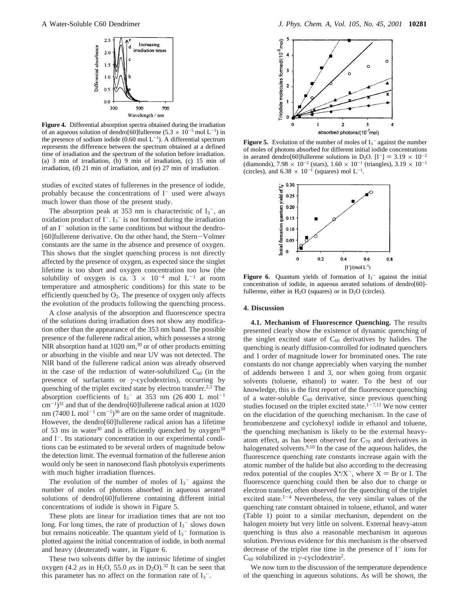

**Figure 4.** Differential absorption spectra obtained during the irradiation of an aqueous solution of dendro[60]fullerene  $(5.3 \times 10^{-5} \text{ mol L}^{-1})$  in the presence of sodium iodide  $(0.60 \text{ mol } L^{-1})$ . A differential spectrum represents the difference between the spectrum obtained at a defined time of irradiation and the spectrum of the solution before irradiation. (a) 3 min of irradiation, (b) 9 min of irradiation, (c) 15 min of irradiation, (d) 21 min of irradiation, and (e) 27 min of irradiation.

studies of excited states of fullerenes in the presence of iodide, probably because the concentrations of  $I^-$  used were always much lower than those of the present study.

The absorption peak at 353 nm is characteristic of  $I_3^-$ , and oxidation product of  $I^-$ .  $I_3^-$  is not formed during the irradiation of an  $I^-$  solution in the same conditions but without the dendro-[60]fullerene derivative. On the other hand, the Stern-Volmer constants are the same in the absence and presence of oxygen. This shows that the singlet quenching process is not directly affected by the presence of oxygen, as expected since the singlet lifetime is too short and oxygen concentration too low (the solubility of oxygen is ca.  $3 \times 10^{-4}$  mol L<sup>-1</sup> at room temperature and atmospheric conditions) for this state to be efficiently quenched by  $O_2$ . The presence of oxygen only affects the evolution of the products following the quenching process.

A close analysis of the absorption and fluorescence spectra of the solutions during irradiation does not show any modification other than the appearance of the 353 nm band. The possible presence of the fullerene radical anion, which possesses a strong NIR absorption band at  $1020 \text{ nm}$ ,<sup>30</sup> or of other products emitting or absorbing in the visible and near UV was not detected. The NIR band of the fullerene radical anion was already observed in the case of the reduction of water-solubilized  $C_{60}$  (in the presence of surfactants or *γ*-cyclodextrins), occurring by quenching of the triplet excited state by electron transfer.<sup>2,3</sup> The absorption coefficients of  $I_3$ <sup>-</sup> at 353 nm (26 400 L mol<sup>-1</sup>  $\text{cm}^{-1}$ )<sup>31</sup> and that of the dendro[60]fullerene radical anion at 1020 nm (7400 L mol<sup>-1</sup> cm<sup>-1</sup>)<sup>30</sup> are on the same order of magnitude. However, the dendro[60]fullerene radical anion has a lifetime of 53 ms in water<sup>30</sup> and is efficiently quenched by  $oxygen^{30}$ and I<sup>-</sup>. Its stationary concentration in our experimental conditions can be estimated to be several orders of magnitude below the detection limit. The eventual formation of the fullerene anion would only be seen in nanosecond flash photolysis experiments with much higher irradiation fluences.

The evolution of the number of moles of  $I_3$ <sup>-</sup> against the number of moles of photons absorbed in aqueous aerated solutions of dendro[60]fullerene containing different initial concentrations of iodide is shown in Figure 5.

These plots are linear for irradiation times that are not too long. For long times, the rate of production of  $I_3^-$  slows down but remains noticeable. The quantum yield of  $I_3^-$  formation is plotted against the initial concentration of iodide, in both normal and heavy (deuterated) water, in Figure 6.

These two solvents differ by the intrinsic lifetime of singlet oxygen (4.2  $\mu$ s in H<sub>2</sub>O, 55.0  $\mu$ s in D<sub>2</sub>O).<sup>32</sup> It can be seen that this parameter has no affect on the formation rate of  $I_3$ <sup>-</sup>.



**Figure 5.** Evolution of the number of moles of  $I_3$ <sup>-</sup> against the number of moles of photons absorbed for different initial iodide concentrations in aerated dendro[60]fullerene solutions in D<sub>2</sub>O. [I<sup>-</sup>] = 3.19  $\times$  10<sup>-2</sup> (diamonds),  $7.98 \times 10^{-2}$  (stars),  $1.60 \times 10^{-1}$  (triangles),  $3.19 \times 10^{-1}$ (circles), and  $6.38 \times 10^{-1}$  (squares) mol L<sup>-1</sup>.



**Figure 6.** Quantum yields of formation of  $I_3$ <sup>-</sup> against the initial concentration of iodide, in aqueous aerated solutions of dendro[60] fullerene, either in  $H_2O$  (squares) or in  $D_2O$  (circles).

#### **4. Discussion**

**4.1. Mechanism of Fluorescence Quenching.** The results presented clearly show the existence of dynamic quenching of the singlet excited state of  $C_{60}$  derivatives by halides. The quenching is nearly diffusion-controlled for iodinated quenchers and 1 order of magnitude lower for brominated ones. The rate constants do not change appreciably when varying the number of addends between 1 and 3, nor when going from organic solvents (toluene, ethanol) to water. To the best of our knowledge, this is the first report of the fluorescence quenching of a water-soluble  $C_{60}$  derivative, since previous quenching studies focused on the triplet excited state.<sup>1-7,11</sup> We now center on the elucidation of the quenching mechanism. In the case of bromobenzene and cyclohexyl iodide in ethanol and toluene, the quenching mechanism is likely to be the external heavyatom effect, as has been observed for  $C_{70}$  and derivatives in halogenated solvents.<sup>9,10</sup> In the case of the aqueous halides, the fluorescence quenching rate constants increase again with the atomic number of the halide but also according to the decreasing redox potential of the couples  $X^*/X^-$ , where  $X = Br$  or I. The fluorescence quenching could then be also due to charge or fluorescence quenching could then be also due to charge or electron transfer, often observed for the quenching of the triplet excited state.<sup>1-4</sup> Nevertheless, the very similar values of the quenching rate constant obtained in toluene, ethanol, and water (Table 1) point to a similar mechanism, dependent on the halogen moiety but very little on solvent. External heavy-atom quenching is thus also a reasonable mechanism in aqueous solution. Previous evidence for this mechanism is the observed decrease of the triplet rise time in the presence of  $I^-$  ions for  $C_{60}$  solubilized in *γ*-cyclodextrin<sup>2</sup>.

We now turn to the discussion of the temperature dependence of the quenching in aqueous solutions. As will be shown, the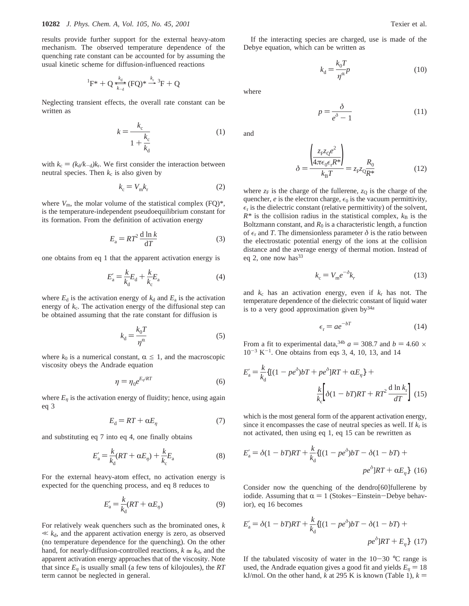results provide further support for the external heavy-atom mechanism. The observed temperature dependence of the quenching rate constant can be accounted for by assuming the usual kinetic scheme for diffusion-influenced reactions

$$
{}^{1}F^{*} + Q \xrightarrow[k_{d}]{k_{d}} (FQ)^{*} \xrightarrow{k_{r}} {}^{3}F + Q
$$

 ${}^{1}F^{*} + Q \underbrace{\overbrace{\overbrace{\overline{k}_{-d}}^{*}}^{*} (FQ)^{*} \rightarrow {}^{3}F + Q}$ <br>Neglecting transient effects, the overall rate constant can be written as

$$
k = \frac{k_c}{1 + \frac{k_c}{k_d}}
$$
 (1)

with  $k_c = (k_d/k_{-d})k_r$ . We first consider the interaction between neutral species. Then  $k_c$  is also given by

$$
k_{\rm c} = V_{\rm m} k_{\rm r} \tag{2}
$$

where  $V_{\text{m}}$ , the molar volume of the statistical complex  $(FQ)^*$ , is the temperature-independent pseudoequilibrium constant for its formation. From the definition of activation energy

$$
E_{\rm a} = RT^2 \frac{\mathrm{d} \ln k}{\mathrm{d} T} \tag{3}
$$

one obtains from eq 1 that the apparent activation energy is

$$
E'_{\rm a} = \frac{k}{k_{\rm d}} E_{\rm d} + \frac{k}{k_{\rm c}} E_{\rm a} \tag{4}
$$

where  $E_d$  is the activation energy of  $k_d$  and  $E_a$  is the activation energy of  $k_c$ . The activation energy of the diffusional step can be obtained assuming that the rate constant for diffusion is

$$
k_{\rm d} = \frac{k_{\rm 0}T}{\eta^{\alpha}}\tag{5}
$$

where  $k_0$  is a numerical constant,  $\alpha \leq 1$ , and the macroscopic viscosity obeys the Andrade equation

$$
\eta = \eta_0 e^{E_\eta / RT} \tag{6}
$$

where  $E_n$  is the activation energy of fluidity; hence, using again eq 3

$$
E_{\rm d} = RT + \alpha E_{\eta} \tag{7}
$$

and substituting eq 7 into eq 4, one finally obtains

$$
E'_{\mathbf{a}} = \frac{k}{k_{\mathbf{d}}} (RT + \alpha E_{\eta}) + \frac{k}{k_{\mathbf{c}}} E_{\mathbf{a}} \tag{8}
$$

For the external heavy-atom effect, no activation energy is expected for the quenching process, and eq 8 reduces to

$$
E'_{\mathbf{a}} = \frac{k}{k_{\mathbf{d}}}(RT + \alpha E_{\eta})\tag{9}
$$

For relatively weak quenchers such as the brominated ones, *k*  $\ll k_d$ , and the apparent activation energy is zero, as observed (no temperature dependence for the quenching). On the other hand, for nearly-diffusion-controlled reactions,  $k \approx k_d$ , and the apparent activation energy approaches that of the viscosity. Note that since  $E_n$  is usually small (a few tens of kilojoules), the  $RT$ term cannot be neglected in general.

(11)

If the interacting species are charged, use is made of the Debye equation, which can be written as

 $p = \frac{\delta}{e^{\delta} - 1}$ 

$$
k_{\rm d} = \frac{k_{\rm 0}T}{\eta^{\alpha}} p \tag{10}
$$

where

and

$$
\delta = \frac{\left(\frac{z_{F}z_{Q}e^{2}}{4\pi\epsilon_{0}\epsilon_{r}R^{*}}\right)}{k_{B}T} = z_{F}z_{Q}\frac{R_{0}}{R^{*}}
$$
(12)

where  $z_F$  is the charge of the fullerene,  $z_Q$  is the charge of the quencher,  $e$  is the electron charge,  $\epsilon_0$  is the vacuum permittivity,  $\epsilon_r$  is the dielectric constant (relative permittivity) of the solvent,  $R^*$  is the collision radius in the statistical complex,  $k_B$  is the Boltzmann constant, and  $R_0$  is a characteristic length, a function of  $\epsilon_r$  and *T*. The dimensionless parameter  $\delta$  is the ratio between the electrostatic potential energy of the ions at the collision distance and the average energy of thermal motion. Instead of eq 2, one now has  $33$ 

$$
k_{\rm c} = V_{\rm m} e^{-\delta} k_r \tag{13}
$$

and *k*<sup>c</sup> has an activation energy, even if *k*<sup>r</sup> has not. The temperature dependence of the dielectric constant of liquid water is to a very good approximation given  $by<sup>34a</sup>$ 

$$
\epsilon_{\rm r} = a e^{-bT} \tag{14}
$$

From a fit to experimental data,<sup>34b</sup>  $a = 308.7$  and  $b = 4.60 \times$  $10^{-3}$  K<sup>-1</sup>. One obtains from eqs 3, 4, 10, 13, and 14

$$
E'_{\rm a} = \frac{k}{k_{\rm d}} \{ [(1 - pe^{\delta})bT + pe^{\delta}]RT + \alpha E_{\eta} \} +
$$

$$
\frac{k}{k_{\rm c}} \left[ \delta (1 - bT)RT + RT^2 \frac{d \ln k_{\rm r}}{dT} \right] (15)
$$

which is the most general form of the apparent activation energy, since it encompasses the case of neutral species as well. If *k*<sup>r</sup> is not activated, then using eq 1, eq 15 can be rewritten as

$$
E'_{\rm a} = \delta(1 - bT)RT + \frac{k}{k_{\rm d}} \{ [(1 - pe^{\delta})bT - \delta(1 - bT) +
$$

$$
pe^{\delta}]RT + \alpha E_{\eta} \} \tag{16}
$$

Consider now the quenching of the dendro[60]fullerene by iodide. Assuming that  $\alpha = 1$  (Stokes-Einstein-Debye behavior), eq 16 becomes

$$
E'_{a} = \delta(1 - bT)RT + \frac{k}{k_d} \{ [(1 - pe^{\delta})bT - \delta(1 - bT) +
$$
  

$$
pe^{\delta}]RT + E_{\eta} \} (17)
$$

If the tabulated viscosity of water in the  $10-30$  °C range is used, the Andrade equation gives a good fit and yields  $E_n = 18$ kJ/mol. On the other hand, *k* at 295 K is known (Table 1),  $k =$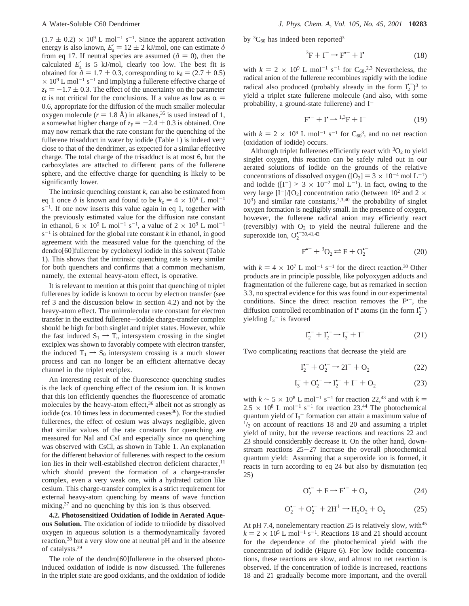$(1.7 \pm 0.2) \times 10^9$  L mol<sup>-1</sup> s<sup>-1</sup>. Since the apparent activation energy is also known,  $E'_{a} = 12 \pm 2$  kJ/mol, one can estimate  $\delta$ <br>from eq. 17. If neutral species are assumed  $(\delta = 0)$ , then the from eq 17. If neutral species are assumed ( $\delta = 0$ ), then the calculated  $E'_{a}$  is 5 kJ/mol, clearly too low. The best fit is obtained for  $\delta = 1.7 \pm 0.3$ , corresponding to  $k_d = (2.7 \pm 0.5)$  $\times$  10<sup>9</sup> L mol<sup>-1</sup> s<sup>-1</sup> and implying a fullerene effective charge of  $z_F = -1.7 \pm 0.3$ . The effect of the uncertainty on the parameter  $\alpha$  is not critical for the conclusions. If a value as low as  $\alpha =$ 0.6, appropriate for the diffusion of the much smaller molecular oxygen molecule ( $r = 1.8$  Å) in alkanes,<sup>35</sup> is used instead of 1, a somewhat higher charge of  $z_F = -2.4 \pm 0.3$  is obtained. One may now remark that the rate constant for the quenching of the fullerene trisadduct in water by iodide (Table 1) is indeed very close to that of the dendrimer, as expected for a similar effective charge. The total charge of the trisadduct is at most 6, but the carboxylates are attached to different parts of the fullerene sphere, and the effective charge for quenching is likely to be significantly lower.

The intrinsic quenching constant  $k_c$  can also be estimated from eq 1 once  $\delta$  is known and found to be  $k_c = 4 \times 10^9$  L mol<sup>-1</sup>  $s^{-1}$ . If one now inserts this value again in eq 1, together with the previously estimated value for the diffusion rate constant in ethanol,  $6 \times 10^9$  L mol<sup>-1</sup> s<sup>-1</sup>, a value of  $2 \times 10^9$  L mol<sup>-1</sup>  $s^{-1}$  is obtained for the global rate constant *k* in ethanol, in good agreement with the measured value for the quenching of the dendro[60]fullerene by cyclohexyl iodide in this solvent (Table 1). This shows that the intrinsic quenching rate is very similar for both quenchers and confirms that a common mechanism, namely, the external heavy-atom effect, is operative.

It is relevant to mention at this point that quenching of triplet fullerenes by iodide is known to occur by electron transfer (see ref 3 and the discussion below in section 4.2) and not by the heavy-atom effect. The unimolecular rate constant for electron transfer in the excited fullerene-iodide charge-transfer complex should be high for both singlet and triplet states. However, while the fast induced  $S_1 \rightarrow T_n$  intersystem crossing in the singlet exciplex was shown to favorably compete with electron transfer, the induced  $T_1 \rightarrow S_0$  intersystem crossing is a much slower process and can no longer be an efficient alternative decay channel in the triplet exciplex.

An interesting result of the fluorescence quenching studies is the lack of quenching effect of the cesium ion. It is known that this ion efficiently quenches the fluorescence of aromatic molecules by the heavy-atom effect,<sup>36</sup> albeit not as strongly as iodide (ca. 10 times less in documented cases $36$ ). For the studied fullerenes, the effect of cesium was always negligible, given that similar values of the rate constants for quenching are measured for NaI and CsI and especially since no quenching was observed with CsCl, as shown in Table 1. An explanation for the different behavior of fullerenes with respect to the cesium ion lies in their well-established electron deficient character,<sup>11</sup> which should prevent the formation of a charge-transfer complex, even a very weak one, with a hydrated cation like cesium. This charge-transfer complex is a strict requirement for external heavy-atom quenching by means of wave function mixing,<sup>37</sup> and no quenching by this ion is thus observed.

**4.2. Photosensitized Oxidation of Iodide in Aerated Aqueous Solution.** The oxidation of iodide to triiodide by dissolved oxygen in aqueous solution is a thermodynamically favored reaction,38 but a very slow one at neutral pH and in the absence of catalysts.39

The role of the dendro[60]fullerene in the observed photoinduced oxidation of iodide is now discussed. The fullerenes in the triplet state are good oxidants, and the oxidation of iodide by  ${}^3C_{60}$  has indeed been reported<sup>3</sup>

$$
{}^{3}F + I^{-} \rightarrow F^{\bullet -} + I^{\bullet}
$$
 (18)

with  $k = 2 \times 10^9$  L mol<sup>-1</sup> s<sup>-1</sup> for C<sub>60</sub>.<sup>2,3</sup> Nevertheless, the radical anion of the fullerene recombines rapidly with the jodine radical anion of the fullerene recombines rapidly with the iodine radical also produced (probably already in the form  $I_2^{\bullet -}$ )<sup>3</sup> to yield a triplet state fullerene molecule (and also, with some probability, a ground-state fullerene) and  $I^-$ 

$$
\mathbf{F}^{\bullet-} + \mathbf{I}^{\bullet} \rightarrow {}^{1,3}\mathbf{F} + \mathbf{I}^- \tag{19}
$$

with  $k = 2 \times 10^9$  L mol<sup>-1</sup> s<sup>-1</sup> for C<sub>60</sub><sup>3</sup>, and no net reaction (oxidation of iodide) occurs.

Although triplet fullerenes efficiently react with  ${}^{3}O_{2}$  to yield singlet oxygen, this reaction can be safely ruled out in our aerated solutions of iodide on the grounds of the relative concentrations of dissolved oxygen ( $[O_2] = 3 \times 10^{-4}$  mol L<sup>-1</sup>) and iodide ( $[I^-]$  > 3 × 10<sup>-2</sup> mol L<sup>-1</sup>). In fact, owing to the very large  $[I^{-}]/[O_{2}]$  concentration ratio (between 10<sup>2</sup> and 2  $\times$  $10<sup>3</sup>$ ) and similar rate constants,<sup>2,3,40</sup> the probability of singlet oxygen formation is negligibly small. In the presence of oxygen, however, the fullerene radical anion may efficiently react (reversibly) with  $O_2$  to yield the neutral fullerene and the superoxide ion,  $O_2^{\bullet -30,41,42}$ 

$$
F^{\bullet-} + {}^3O_2 \rightleftarrows F + O_2^{\bullet-}
$$
 (20)

with  $k = 4 \times 10^7$  L mol<sup>-1</sup> s<sup>-1</sup> for the direct reaction.<sup>30</sup> Other products are in principle possible, like polyoxygen adducts and fragmentation of the fullerene cage, but as remarked in section 3.3, no spectral evidence for this was found in our experimental conditions. Since the direct reaction removes the  $F^{-}$ , the diffusion controlled recombination of  $I^{\bullet}$  atoms (in the form  $I_2^{\bullet -}$ ) yielding  $I_3$ <sup>-</sup> is favored

$$
\mathbf{I}_2^{\bullet -} + \mathbf{I}_2^{\bullet -} \rightarrow \mathbf{I}_3^- + \mathbf{I}^- \tag{21}
$$

Two complicating reactions that decrease the yield are

$$
I_2^{\bullet -} + O_2^{\bullet -} \to 2I^- + O_2 \tag{22}
$$

$$
I_3^- + O_2^{\bullet -} \to I_2^{\bullet -} + I^- + O_2 \tag{23}
$$

with  $k \sim 5 \times 10^8$  L mol<sup>-1</sup> s<sup>-1</sup> for reaction 22,<sup>43</sup> and with  $k =$  $2.5 \times 10^8$  L mol<sup>-1</sup> s<sup>-1</sup> for reaction 23.<sup>44</sup> The photochemical quantum yield of  $I_3^-$  formation can attain a maximum value of  $\frac{1}{2}$  on account of reactions 18 and 20 and assuming a triplet yield of unity, but the reverse reactions and reactions 22 and 23 should considerably decrease it. On the other hand, downstream reactions 25-27 increase the overall photochemical quantum yield: Assuming that a superoxide ion is formed, it reacts in turn according to eq 24 but also by dismutation (eq 25)

$$
O_2^{\bullet-} + F \rightarrow F^{\bullet-} + O_2 \tag{24}
$$

$$
O_2^{--} + O_2^{--} + 2H^+ \rightarrow H_2O_2 + O_2 \tag{25}
$$

At pH 7.4, nonelementary reaction 25 is relatively slow, with<sup>45</sup>  $k = 2 \times 10^5$  L mol<sup>-1</sup> s<sup>-1</sup>. Reactions 18 and 21 should account for the dependence of the photochemical yield with the concentration of iodide (Figure 6). For low iodide concentrations, these reactions are slow, and almost no net reaction is observed. If the concentration of iodide is increased, reactions 18 and 21 gradually become more important, and the overall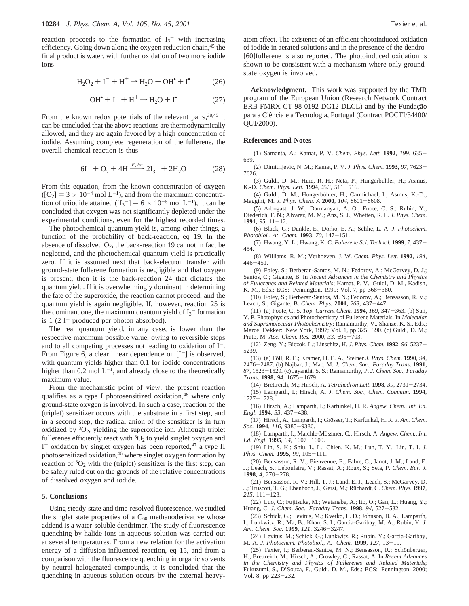reaction proceeds to the formation of  $I_3$ <sup>-</sup> with increasing efficiency. Going down along the oxygen reduction chain,<sup>45</sup> the final product is water, with further oxidation of two more iodide ions

$$
H_2O_2 + I^- + H^+ \rightarrow H_2O + OH^* + I^* \tag{26}
$$

$$
\text{OH}^{\bullet} + \text{I}^- + \text{H}^+ \rightarrow \text{H}_2\text{O} + \text{I}^{\bullet} \tag{27}
$$

From the known redox potentials of the relevant pairs,  $38,45$  it can be concluded that the above reactions are thermodynamically allowed, and they are again favored by a high concentration of iodide. Assuming complete regeneration of the fullerene, the overall chemical reaction is thus

$$
6I^{-} + O_{2} + 4H \xrightarrow{F, hv} 2I_{3}^{-} + 2H_{2}O
$$
 (28)

From this equation, from the known concentration of oxygen  $6I^{-} + O_{2} + 4H \xrightarrow{F, hv} 2I_{3}^{-} + 2H_{2}O$  (28)<br>From this equation, from the known concentration of oxygen<br>([O<sub>2</sub>] = 3 × 10<sup>-4</sup> mol L<sup>-1</sup>), and from the maximum concentra-<br>tion of trijodide attained (IL-1 = 6 × 10<sup>-5</sup> mol L<sup></sup> tion of triiodide attained  $([I_3^-] = 6 \times 10^{-5}$  mol L<sup>-1</sup>), it can be concluded that oxygen was not significantly depleted under the concluded that oxygen was not significantly depleted under the experimental conditions, even for the highest recorded times.

The photochemical quantum yield is, among other things, a function of the probability of back-reaction, eq 19. In the absence of dissolved  $O_2$ , the back-reaction 19 cannot in fact be neglected, and the photochemical quantum yield is practically zero. If it is assumed next that back-electron transfer with ground-state fullerene formation is negligible and that oxygen is present, then it is the back-reaction 24 that dictates the quantum yield. If it is overwhelmingly dominant in determining the fate of the superoxide, the reaction cannot proceed, and the quantum yield is again negligible. If, however, reaction 25 is the dominant one, the maximum quantum yield of  $I_3$ <sup>-</sup> formation is  $1(2 I<sup>-</sup>$  produced per photon absorbed).

The real quantum yield, in any case, is lower than the respective maximum possible value, owing to reversible steps and to all competing processes not leading to oxidation of  $I^-$ . From Figure 6, a clear linear dependence on  $[I^-]$  is observed, with quantum yields higher than 0.1 for iodide concentrations higher than 0.2 mol  $L^{-1}$ , and already close to the theoretically maximum value.

From the mechanistic point of view, the present reaction qualifies as a type I photosensitized oxidation,  $46$  where only ground-state oxygen is involved. In such a case, reaction of the (triplet) sensitizer occurs with the substrate in a first step, and in a second step, the radical anion of the sensitizer is in turn oxidized by  ${}^{3}O_{2}$ , yielding the superoxide ion. Although triplet fullerenes efficiently react with  ${}^{3}O_{2}$  to yield singlet oxygen and I<sup>-</sup> oxidation by singlet oxygen has been reported,<sup>47</sup> a type II photosensitized oxidation,46 where singlet oxygen formation by reaction of  ${}^{3}O_{2}$  with the (triplet) sensitizer is the first step, can be safely ruled out on the grounds of the relative concentrations of dissolved oxygen and iodide.

#### **5. Conclusions**

Using steady-state and time-resolved fluorescence, we studied the singlet state properties of a  $C_{60}$  methanoderivative whose addend is a water-soluble dendrimer. The study of fluorescence quenching by halide ions in aqueous solution was carried out at several temperatures. From a new relation for the activation energy of a diffusion-influenced reaction, eq 15, and from a comparison with the fluorescence quenching in organic solvents by neutral halogenated compounds, it is concluded that the quenching in aqueous solution occurs by the external heavy-

atom effect. The existence of an efficient photoinduced oxidation of iodide in aerated solutions and in the presence of the dendro- [60]fullerene is also reported. The photoinduced oxidation is shown to be consistent with a mechanism where only groundstate oxygen is involved.

**Acknowledgment.** This work was supported by the TMR program of the European Union (Research Network Contract ERB FMRX-CT 98-0192 DG12-DLCL) and by the Fundação para a Ciência e a Tecnologia, Portugal (Contract POCTI/34400/ QUI/2000).

#### **References and Notes**

(1) Samanta, A.; Kamat, P. V. *Chem. Phys. Lett.* **<sup>1992</sup>**, *<sup>199</sup>*, 635- 639.

(2) Dimitrijevic, N. M.; Kamat, P. V. *J. Phys. Chem.* **<sup>1993</sup>**, *<sup>97</sup>*, 7623- 7626.

(3) Guldi, D. M.; Huie, R. H.; Neta, P.; Hungerbühler, H.; Asmus, K.-D. *Chem. Phys. Lett.* **<sup>1994</sup>**, *<sup>223</sup>*, 511-516.

(4) Guldi, D. M.; Hungerbühler, H.; Carmichael, I.; Asmus, K.-D.; Maggini, M. *J. Phys. Chem. A* **<sup>2000</sup>**, *<sup>104</sup>*, 8601-8608.

(5) Arbogast, J. W.; Darmanyan, A. O.; Foote, C. S.; Rubin, Y.; Diederich, F. N.; Alvarez, M. M.; Anz, S. J.; Whetten, R. L. *J. Phys. Chem.* **<sup>1991</sup>**, *<sup>95</sup>*, 11-12.

(6) Black, G.; Dunkle, E.; Dorko, E. A.; Schlie, L. A. *J. Photochem. Photobiol., A: Chem.* **<sup>1993</sup>**, *<sup>70</sup>*, 147-151.

(7) Hwang, Y. L.; Hwang, K. C. *Fullerene Sci. Technol.* **<sup>1999</sup>**, *<sup>7</sup>*, 437- 454.

(8) Williams, R. M.; Verhoeven, J. W. *Chem. Phys. Lett.* **1992**, *194*, <sup>446</sup>-451.

(9) Foley, S.; Berberan-Santos, M. N.; Fedorov, A.; McGarvey, D. J.; Santos, C.; Gigante, B. In *Recent Ad*V*ances in the Chemistry and Physics of Fullerenes and Related Materials*; Kamat, P. V., Guldi, D. M., Kadish, K. M., Eds.; ECS: Pennington, 1999; Vol. 7, pp 368-380.

(10) Foley, S.; Berberan-Santos, M. N.; Fedorov, A.; Bensasson, R. V.; Leach, S.; Gigante, B. *Chem. Phys.* **<sup>2001</sup>**, *<sup>263</sup>*, 437-447.

(11) (a) Foote, C. S. *Top. Current Chem.* **<sup>1994</sup>**, *<sup>169</sup>*, 347-363. (b) Sun, Y. P. Photophysics and Photochemistry of Fullerene Materials. In *Molecular and Supramolecular Photochemistry*; Ramamurthy, V., Shanze, K. S., Eds.; Marcel Dekker: New York, 1997; Vol. 1, pp 325-390. (c) Guldi, D. M.; Prato, M. *Acc. Chem. Res.* **<sup>2000</sup>**, *<sup>33</sup>*, 695-703.

(12) Zeng, Y.; Biczok, L.; Linschitz, H. *J. Phys. Chem.* **<sup>1992</sup>**, *<sup>96</sup>*, 5237- 5239.

(13) (a) Fo¨ll, R. E.; Kramer, H. E. A.; Steiner *J. Phys. Chem.* **1990**, *94*, <sup>2476</sup>-2487. (b) Najbar, J.; Mac, M. *J. Chem. Soc., Faraday Trans*. **<sup>1991</sup>**, *<sup>87</sup>*, 1523-1529. (c) Jayanthi, S. S.; Ramamurthy, P. *J. Chem. Soc., Faraday Trans*. **<sup>1998</sup>**, *<sup>94</sup>*, 1675-1679.

(14) Brettreich, M.; Hirsch, A. *Tetrahedron Lett*. **<sup>1998</sup>**, *<sup>39</sup>*, 2731-2734. (15) Lamparth, I.; Hirsch, A. *J. Chem. Soc., Chem. Commun.* **1994**,  $1727 - 1728$ 

(16) Hirsch, A.; Lamparth, I.; Karfunkel, H. R. *Angew. Chem., Int. Ed. Engl*. **<sup>1994</sup>**, *<sup>33</sup>*, 437-438.

(17) Hirsch, A.; Lamparth, I.; Grösser, T.; Karfunkel, H. R. *J. Am. Chem. Soc.* **<sup>1994</sup>**, *116,* <sup>9385</sup>-9386.

(18) Lamparth, I.; Maichle-Mössmer, C.; Hirsch, A. Angew. Chem., Int. *Ed. Engl*. **<sup>1995</sup>**, *<sup>34</sup>*, 1607-1609.

(19) Lin, S. K.; Shiu, L. L.; Chien, K. M.; Luh, T. Y.; Lin, T. I. *J. Phys. Chem.* **<sup>1995</sup>**, *<sup>99</sup>*, 105-111.

(20) Bensasson, R. V.; Bienvenue, E.; Fabre, C.; Janot, J. M.; Land, E. J.; Leach, S.; Leboulaire, V.; Rassat, A.; Roux, S.; Seta, P. *Chem. Eur. J.* **<sup>1998</sup>**, *<sup>4</sup>*, 270-278.

(21) Bensasson, R. V.; Hill, T. J.; Land, E. J.; Leach, S.; McGarvey, D. J.; Truscott, T. G.; Ebenhoch, J.; Gerst, M.; Rüchardt, C. *Chem. Phys.* 1997, *<sup>215</sup>*, 111-123.

(22) Luo, C.; Fujitsuka, M.; Watanabe, A.; Ito, O.; Gan, L.; Huang, Y.; Huang, C. *J. Chem. Soc., Faraday Trans*. **<sup>1998</sup>**, *<sup>94</sup>*, 527-532.

(23) Schick, G.; Levitus, M.; Kvetko, L. D.; Johnson, B. A.; Lamparth, I.; Lunkwitz, R.; Ma, B.; Khan, S. I.; Garcia-Garibay, M. A.; Rubin, Y. *J. Am. Chem. Soc.* **<sup>1999</sup>**, *<sup>121</sup>*, 3246-3247.

(24) Levitus, M.; Schick, G.; Lunkwitz, R.; Rubin, Y.; Garcia-Garibay, M. A. *J. Photochem. Photobiol., A: Chem.* **<sup>1999</sup>**, *<sup>127</sup>*, 13-19.

(25) Texier, I.; Berberan-Santos, M. N.; Bensasson, R.; Schönberger, H.; Brettreich, M.; Hirsch, A.; Crowley, C.; Rassat, A. In *Recent Ad*V*ances in the Chemistry and Physics of Fullerenes and Related Materials*; Fukuzumi, S., D'Souza, F., Guldi, D. M., Eds.; ECS: Pennington, 2000; Vol. 8, pp 223-232.